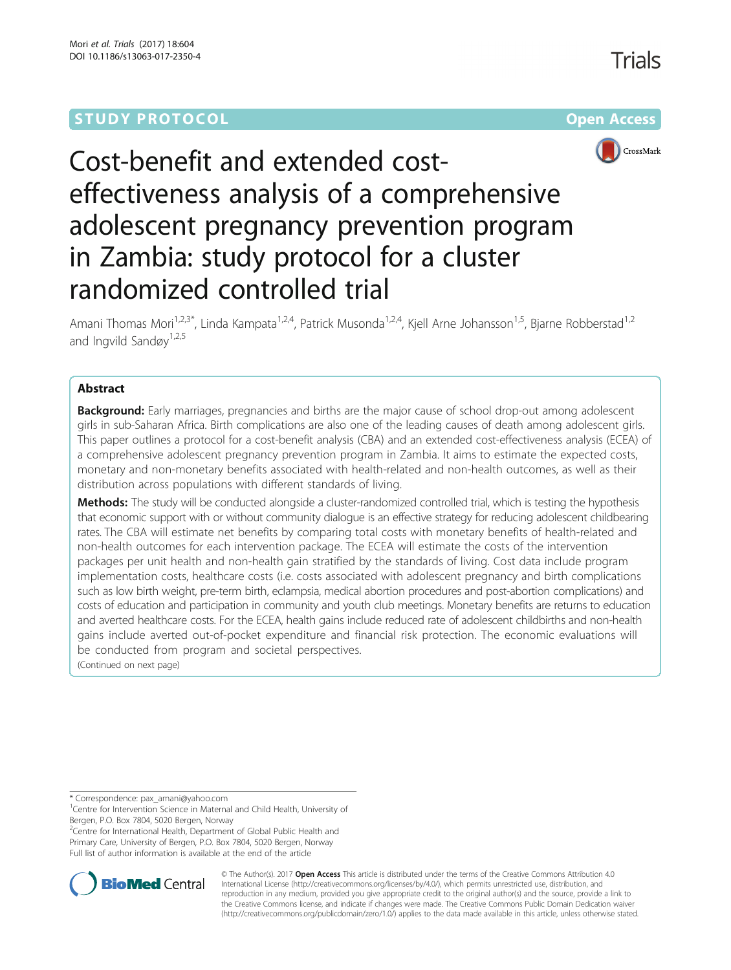# **STUDY PROTOCOL CONSUMING THE RESERVE ACCESS**



# Cost-benefit and extended costeffectiveness analysis of a comprehensive adolescent pregnancy prevention program in Zambia: study protocol for a cluster randomized controlled trial

Amani Thomas Mori<sup>1,2,3\*</sup>, Linda Kampata<sup>1,2,4</sup>, Patrick Musonda<sup>1,2,4</sup>, Kjell Arne Johansson<sup>1,5</sup>, Bjarne Robberstad<sup>1,2</sup> and Ingvild Sandøy $1,2,5$ 

# Abstract

**Background:** Early marriages, pregnancies and births are the major cause of school drop-out among adolescent girls in sub-Saharan Africa. Birth complications are also one of the leading causes of death among adolescent girls. This paper outlines a protocol for a cost-benefit analysis (CBA) and an extended cost-effectiveness analysis (ECEA) of a comprehensive adolescent pregnancy prevention program in Zambia. It aims to estimate the expected costs, monetary and non-monetary benefits associated with health-related and non-health outcomes, as well as their distribution across populations with different standards of living.

Methods: The study will be conducted alongside a cluster-randomized controlled trial, which is testing the hypothesis that economic support with or without community dialogue is an effective strategy for reducing adolescent childbearing rates. The CBA will estimate net benefits by comparing total costs with monetary benefits of health-related and non-health outcomes for each intervention package. The ECEA will estimate the costs of the intervention packages per unit health and non-health gain stratified by the standards of living. Cost data include program implementation costs, healthcare costs (i.e. costs associated with adolescent pregnancy and birth complications such as low birth weight, pre-term birth, eclampsia, medical abortion procedures and post-abortion complications) and costs of education and participation in community and youth club meetings. Monetary benefits are returns to education and averted healthcare costs. For the ECEA, health gains include reduced rate of adolescent childbirths and non-health gains include averted out-of-pocket expenditure and financial risk protection. The economic evaluations will be conducted from program and societal perspectives. (Continued on next page)

\* Correspondence: [pax\\_amani@yahoo.com](mailto:pax_amani@yahoo.com) <sup>1</sup>

<sup>2</sup>Centre for International Health, Department of Global Public Health and Primary Care, University of Bergen, P.O. Box 7804, 5020 Bergen, Norway Full list of author information is available at the end of the article



© The Author(s). 2017 **Open Access** This article is distributed under the terms of the Creative Commons Attribution 4.0 International License [\(http://creativecommons.org/licenses/by/4.0/](http://creativecommons.org/licenses/by/4.0/)), which permits unrestricted use, distribution, and reproduction in any medium, provided you give appropriate credit to the original author(s) and the source, provide a link to the Creative Commons license, and indicate if changes were made. The Creative Commons Public Domain Dedication waiver [\(http://creativecommons.org/publicdomain/zero/1.0/](http://creativecommons.org/publicdomain/zero/1.0/)) applies to the data made available in this article, unless otherwise stated.

<sup>&</sup>lt;sup>1</sup>Centre for Intervention Science in Maternal and Child Health, University of Bergen, P.O. Box 7804, 5020 Bergen, Norway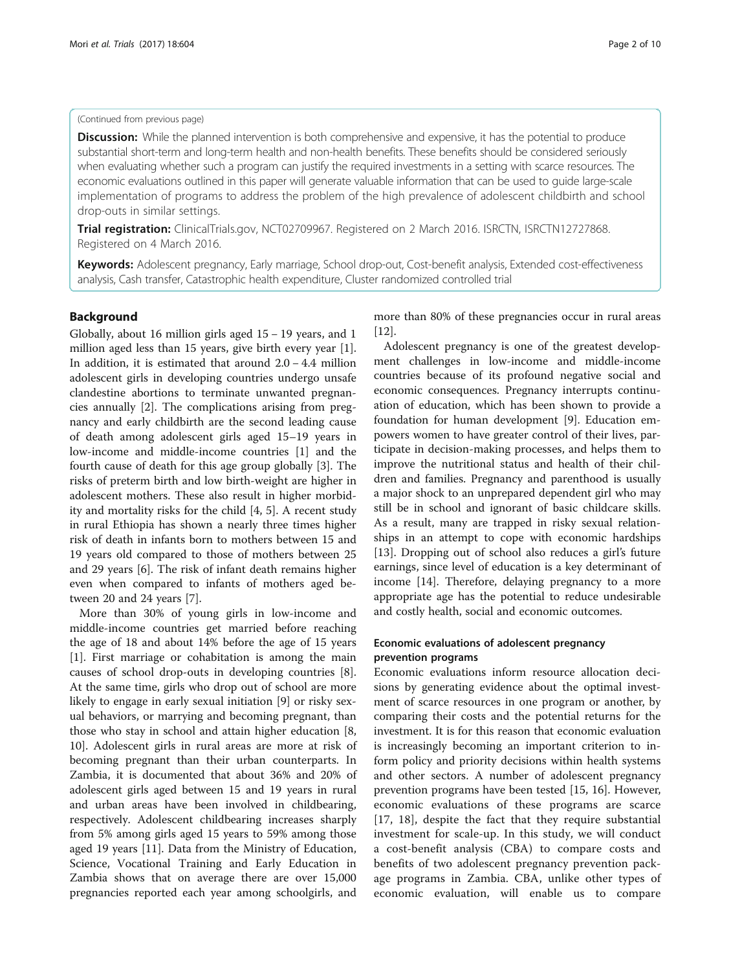# (Continued from previous page)

**Discussion:** While the planned intervention is both comprehensive and expensive, it has the potential to produce substantial short-term and long-term health and non-health benefits. These benefits should be considered seriously when evaluating whether such a program can justify the required investments in a setting with scarce resources. The economic evaluations outlined in this paper will generate valuable information that can be used to guide large-scale implementation of programs to address the problem of the high prevalence of adolescent childbirth and school drop-outs in similar settings.

Trial registration: ClinicalTrials.gov, NCT02709967. Registered on 2 March 2016. ISRCTN, ISRCTN12727868. Registered on 4 March 2016.

Keywords: Adolescent pregnancy, Early marriage, School drop-out, Cost-benefit analysis, Extended cost-effectiveness analysis, Cash transfer, Catastrophic health expenditure, Cluster randomized controlled trial

# Background

Globally, about 16 million girls aged 15 − 19 years, and 1 million aged less than 15 years, give birth every year [\[1](#page-9-0)]. In addition, it is estimated that around 2.0 − 4.4 million adolescent girls in developing countries undergo unsafe clandestine abortions to terminate unwanted pregnancies annually [[2\]](#page-9-0). The complications arising from pregnancy and early childbirth are the second leading cause of death among adolescent girls aged 15–19 years in low-income and middle-income countries [[1\]](#page-9-0) and the fourth cause of death for this age group globally [\[3\]](#page-9-0). The risks of preterm birth and low birth-weight are higher in adolescent mothers. These also result in higher morbidity and mortality risks for the child [[4, 5\]](#page-9-0). A recent study in rural Ethiopia has shown a nearly three times higher risk of death in infants born to mothers between 15 and 19 years old compared to those of mothers between 25 and 29 years [[6\]](#page-9-0). The risk of infant death remains higher even when compared to infants of mothers aged between 20 and 24 years [\[7](#page-9-0)].

More than 30% of young girls in low-income and middle-income countries get married before reaching the age of 18 and about 14% before the age of 15 years [[1\]](#page-9-0). First marriage or cohabitation is among the main causes of school drop-outs in developing countries [\[8](#page-9-0)]. At the same time, girls who drop out of school are more likely to engage in early sexual initiation [[9](#page-9-0)] or risky sexual behaviors, or marrying and becoming pregnant, than those who stay in school and attain higher education [\[8](#page-9-0), [10\]](#page-9-0). Adolescent girls in rural areas are more at risk of becoming pregnant than their urban counterparts. In Zambia, it is documented that about 36% and 20% of adolescent girls aged between 15 and 19 years in rural and urban areas have been involved in childbearing, respectively. Adolescent childbearing increases sharply from 5% among girls aged 15 years to 59% among those aged 19 years [[11](#page-9-0)]. Data from the Ministry of Education, Science, Vocational Training and Early Education in Zambia shows that on average there are over 15,000 pregnancies reported each year among schoolgirls, and

more than 80% of these pregnancies occur in rural areas [[12\]](#page-9-0).

Adolescent pregnancy is one of the greatest development challenges in low-income and middle-income countries because of its profound negative social and economic consequences. Pregnancy interrupts continuation of education, which has been shown to provide a foundation for human development [[9](#page-9-0)]. Education empowers women to have greater control of their lives, participate in decision-making processes, and helps them to improve the nutritional status and health of their children and families. Pregnancy and parenthood is usually a major shock to an unprepared dependent girl who may still be in school and ignorant of basic childcare skills. As a result, many are trapped in risky sexual relationships in an attempt to cope with economic hardships [[13\]](#page-9-0). Dropping out of school also reduces a girl's future earnings, since level of education is a key determinant of income [[14\]](#page-9-0). Therefore, delaying pregnancy to a more appropriate age has the potential to reduce undesirable and costly health, social and economic outcomes.

# Economic evaluations of adolescent pregnancy prevention programs

Economic evaluations inform resource allocation decisions by generating evidence about the optimal investment of scarce resources in one program or another, by comparing their costs and the potential returns for the investment. It is for this reason that economic evaluation is increasingly becoming an important criterion to inform policy and priority decisions within health systems and other sectors. A number of adolescent pregnancy prevention programs have been tested [\[15](#page-9-0), [16](#page-9-0)]. However, economic evaluations of these programs are scarce [[17, 18\]](#page-9-0), despite the fact that they require substantial investment for scale-up. In this study, we will conduct a cost-benefit analysis (CBA) to compare costs and benefits of two adolescent pregnancy prevention package programs in Zambia. CBA, unlike other types of economic evaluation, will enable us to compare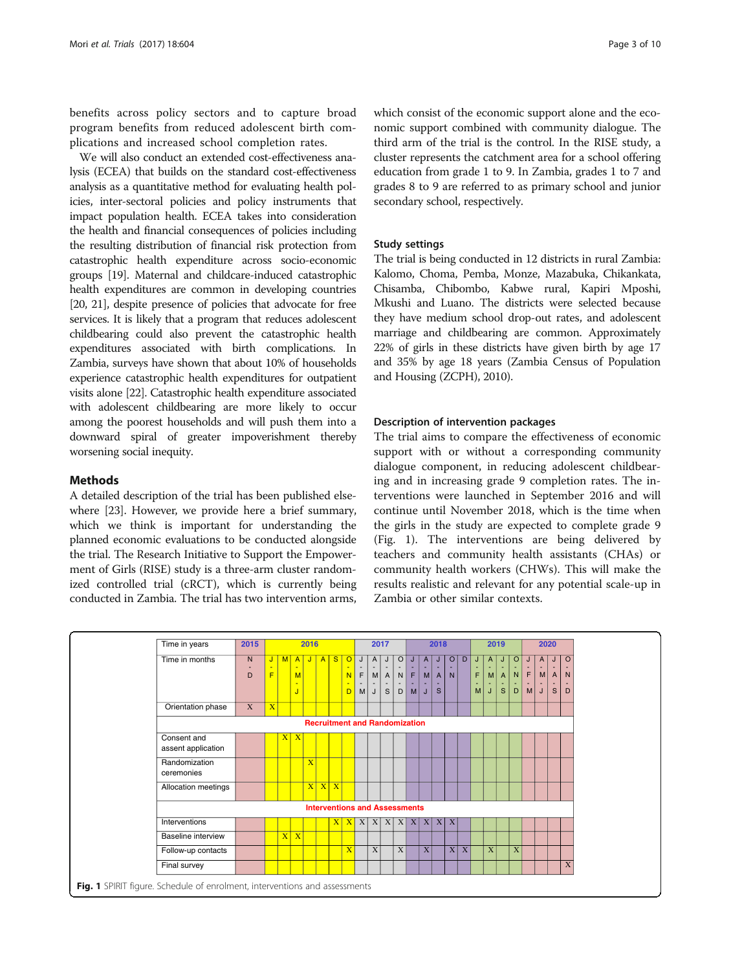benefits across policy sectors and to capture broad program benefits from reduced adolescent birth complications and increased school completion rates.

We will also conduct an extended cost-effectiveness analysis (ECEA) that builds on the standard cost-effectiveness analysis as a quantitative method for evaluating health policies, inter-sectoral policies and policy instruments that impact population health. ECEA takes into consideration the health and financial consequences of policies including the resulting distribution of financial risk protection from catastrophic health expenditure across socio-economic groups [\[19](#page-9-0)]. Maternal and childcare-induced catastrophic health expenditures are common in developing countries [[20](#page-9-0), [21](#page-9-0)], despite presence of policies that advocate for free services. It is likely that a program that reduces adolescent childbearing could also prevent the catastrophic health expenditures associated with birth complications. In Zambia, surveys have shown that about 10% of households experience catastrophic health expenditures for outpatient visits alone [\[22\]](#page-9-0). Catastrophic health expenditure associated with adolescent childbearing are more likely to occur among the poorest households and will push them into a downward spiral of greater impoverishment thereby worsening social inequity.

# Methods

A detailed description of the trial has been published elsewhere [\[23\]](#page-9-0). However, we provide here a brief summary, which we think is important for understanding the planned economic evaluations to be conducted alongside the trial. The Research Initiative to Support the Empowerment of Girls (RISE) study is a three-arm cluster randomized controlled trial (cRCT), which is currently being conducted in Zambia. The trial has two intervention arms, which consist of the economic support alone and the economic support combined with community dialogue. The third arm of the trial is the control. In the RISE study, a cluster represents the catchment area for a school offering education from grade 1 to 9. In Zambia, grades 1 to 7 and grades 8 to 9 are referred to as primary school and junior secondary school, respectively.

#### Study settings

The trial is being conducted in 12 districts in rural Zambia: Kalomo, Choma, Pemba, Monze, Mazabuka, Chikankata, Chisamba, Chibombo, Kabwe rural, Kapiri Mposhi, Mkushi and Luano. The districts were selected because they have medium school drop-out rates, and adolescent marriage and childbearing are common. Approximately 22% of girls in these districts have given birth by age 17 and 35% by age 18 years (Zambia Census of Population and Housing (ZCPH), 2010).

#### Description of intervention packages

The trial aims to compare the effectiveness of economic support with or without a corresponding community dialogue component, in reducing adolescent childbearing and in increasing grade 9 completion rates. The interventions were launched in September 2016 and will continue until November 2018, which is the time when the girls in the study are expected to complete grade 9 (Fig. 1). The interventions are being delivered by teachers and community health assistants (CHAs) or community health workers (CHWs). This will make the results realistic and relevant for any potential scale-up in Zambia or other similar contexts.

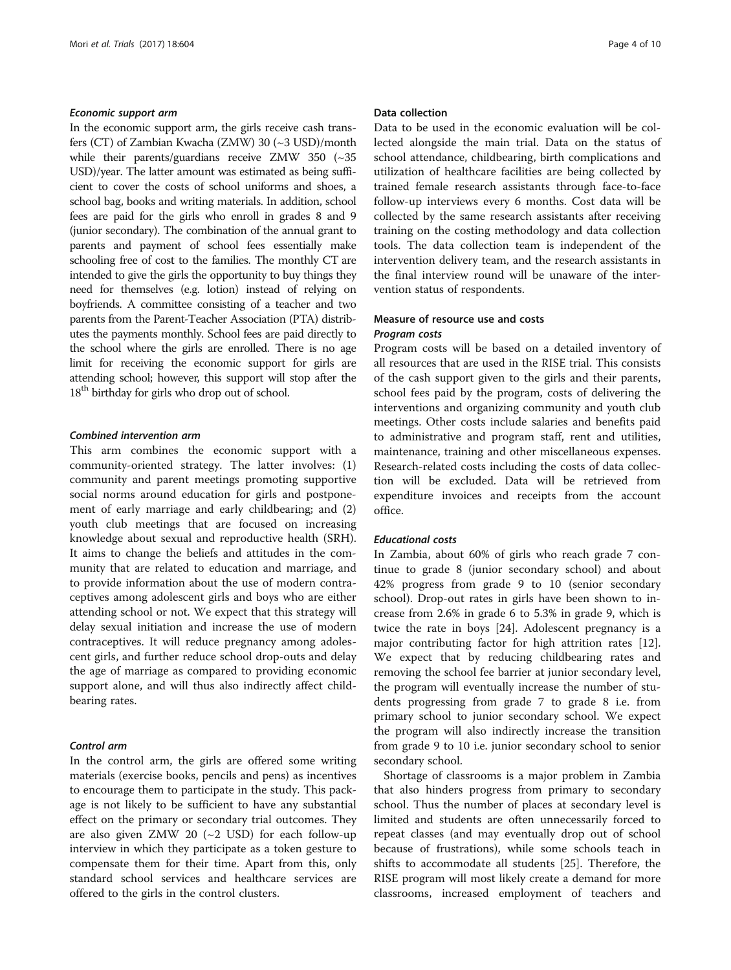#### Economic support arm

In the economic support arm, the girls receive cash transfers (CT) of Zambian Kwacha (ZMW) 30 (~3 USD)/month while their parents/guardians receive ZMW 350 (~35 USD)/year. The latter amount was estimated as being sufficient to cover the costs of school uniforms and shoes, a school bag, books and writing materials. In addition, school fees are paid for the girls who enroll in grades 8 and 9 (junior secondary). The combination of the annual grant to parents and payment of school fees essentially make schooling free of cost to the families. The monthly CT are intended to give the girls the opportunity to buy things they need for themselves (e.g. lotion) instead of relying on boyfriends. A committee consisting of a teacher and two parents from the Parent-Teacher Association (PTA) distributes the payments monthly. School fees are paid directly to the school where the girls are enrolled. There is no age limit for receiving the economic support for girls are attending school; however, this support will stop after the 18<sup>th</sup> birthday for girls who drop out of school.

#### Combined intervention arm

This arm combines the economic support with a community-oriented strategy. The latter involves: (1) community and parent meetings promoting supportive social norms around education for girls and postponement of early marriage and early childbearing; and (2) youth club meetings that are focused on increasing knowledge about sexual and reproductive health (SRH). It aims to change the beliefs and attitudes in the community that are related to education and marriage, and to provide information about the use of modern contraceptives among adolescent girls and boys who are either attending school or not. We expect that this strategy will delay sexual initiation and increase the use of modern contraceptives. It will reduce pregnancy among adolescent girls, and further reduce school drop-outs and delay the age of marriage as compared to providing economic support alone, and will thus also indirectly affect childbearing rates.

### Control arm

In the control arm, the girls are offered some writing materials (exercise books, pencils and pens) as incentives to encourage them to participate in the study. This package is not likely to be sufficient to have any substantial effect on the primary or secondary trial outcomes. They are also given ZMW 20  $({\sim}2$  USD) for each follow-up interview in which they participate as a token gesture to compensate them for their time. Apart from this, only standard school services and healthcare services are offered to the girls in the control clusters.

# Data collection

Data to be used in the economic evaluation will be collected alongside the main trial. Data on the status of school attendance, childbearing, birth complications and utilization of healthcare facilities are being collected by trained female research assistants through face-to-face follow-up interviews every 6 months. Cost data will be collected by the same research assistants after receiving training on the costing methodology and data collection tools. The data collection team is independent of the intervention delivery team, and the research assistants in the final interview round will be unaware of the intervention status of respondents.

# Measure of resource use and costs Program costs

Program costs will be based on a detailed inventory of all resources that are used in the RISE trial. This consists of the cash support given to the girls and their parents, school fees paid by the program, costs of delivering the interventions and organizing community and youth club meetings. Other costs include salaries and benefits paid to administrative and program staff, rent and utilities, maintenance, training and other miscellaneous expenses. Research-related costs including the costs of data collection will be excluded. Data will be retrieved from expenditure invoices and receipts from the account office.

#### Educational costs

In Zambia, about 60% of girls who reach grade 7 continue to grade 8 (junior secondary school) and about 42% progress from grade 9 to 10 (senior secondary school). Drop-out rates in girls have been shown to increase from 2.6% in grade 6 to 5.3% in grade 9, which is twice the rate in boys [[24\]](#page-9-0). Adolescent pregnancy is a major contributing factor for high attrition rates [\[12](#page-9-0)]. We expect that by reducing childbearing rates and removing the school fee barrier at junior secondary level, the program will eventually increase the number of students progressing from grade 7 to grade 8 i.e. from primary school to junior secondary school. We expect the program will also indirectly increase the transition from grade 9 to 10 i.e. junior secondary school to senior secondary school.

Shortage of classrooms is a major problem in Zambia that also hinders progress from primary to secondary school. Thus the number of places at secondary level is limited and students are often unnecessarily forced to repeat classes (and may eventually drop out of school because of frustrations), while some schools teach in shifts to accommodate all students [[25](#page-9-0)]. Therefore, the RISE program will most likely create a demand for more classrooms, increased employment of teachers and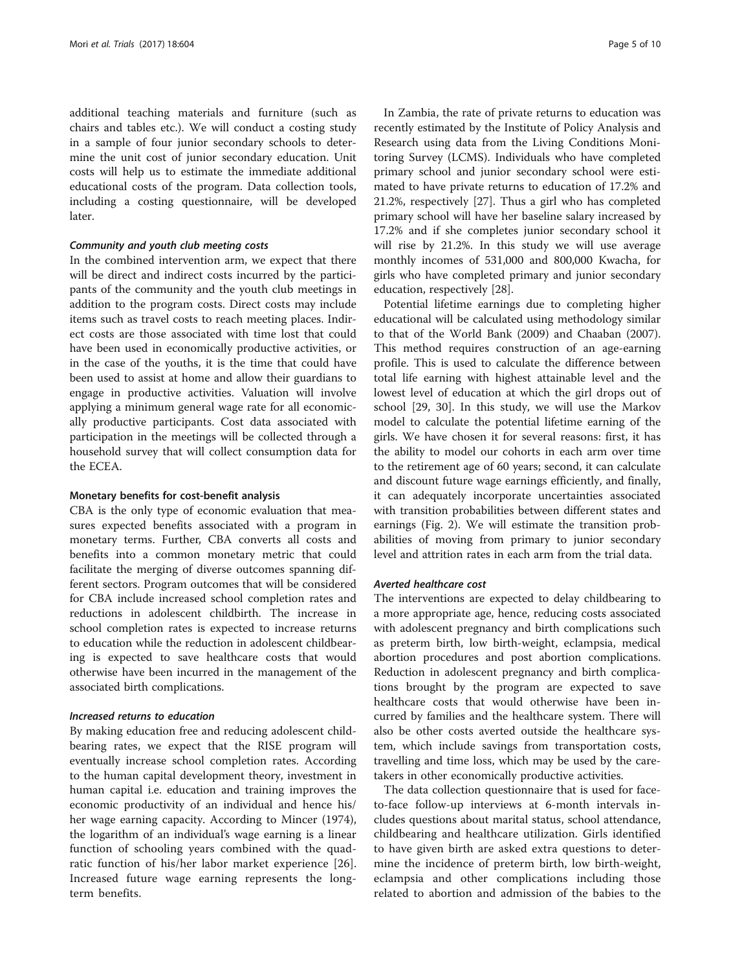additional teaching materials and furniture (such as chairs and tables etc.). We will conduct a costing study in a sample of four junior secondary schools to determine the unit cost of junior secondary education. Unit costs will help us to estimate the immediate additional educational costs of the program. Data collection tools, including a costing questionnaire, will be developed later.

# Community and youth club meeting costs

In the combined intervention arm, we expect that there will be direct and indirect costs incurred by the participants of the community and the youth club meetings in addition to the program costs. Direct costs may include items such as travel costs to reach meeting places. Indirect costs are those associated with time lost that could have been used in economically productive activities, or in the case of the youths, it is the time that could have been used to assist at home and allow their guardians to engage in productive activities. Valuation will involve applying a minimum general wage rate for all economically productive participants. Cost data associated with participation in the meetings will be collected through a household survey that will collect consumption data for the ECEA.

#### Monetary benefits for cost-benefit analysis

CBA is the only type of economic evaluation that measures expected benefits associated with a program in monetary terms. Further, CBA converts all costs and benefits into a common monetary metric that could facilitate the merging of diverse outcomes spanning different sectors. Program outcomes that will be considered for CBA include increased school completion rates and reductions in adolescent childbirth. The increase in school completion rates is expected to increase returns to education while the reduction in adolescent childbearing is expected to save healthcare costs that would otherwise have been incurred in the management of the associated birth complications.

#### Increased returns to education

By making education free and reducing adolescent childbearing rates, we expect that the RISE program will eventually increase school completion rates. According to the human capital development theory, investment in human capital i.e. education and training improves the economic productivity of an individual and hence his/ her wage earning capacity. According to Mincer (1974), the logarithm of an individual's wage earning is a linear function of schooling years combined with the quadratic function of his/her labor market experience [\[26](#page-9-0)]. Increased future wage earning represents the longterm benefits.

In Zambia, the rate of private returns to education was recently estimated by the Institute of Policy Analysis and Research using data from the Living Conditions Monitoring Survey (LCMS). Individuals who have completed primary school and junior secondary school were estimated to have private returns to education of 17.2% and 21.2%, respectively [[27\]](#page-9-0). Thus a girl who has completed primary school will have her baseline salary increased by 17.2% and if she completes junior secondary school it will rise by 21.2%. In this study we will use average monthly incomes of 531,000 and 800,000 Kwacha, for girls who have completed primary and junior secondary education, respectively [\[28](#page-9-0)].

Potential lifetime earnings due to completing higher educational will be calculated using methodology similar to that of the World Bank (2009) and Chaaban (2007). This method requires construction of an age-earning profile. This is used to calculate the difference between total life earning with highest attainable level and the lowest level of education at which the girl drops out of school [[29, 30](#page-9-0)]. In this study, we will use the Markov model to calculate the potential lifetime earning of the girls. We have chosen it for several reasons: first, it has the ability to model our cohorts in each arm over time to the retirement age of 60 years; second, it can calculate and discount future wage earnings efficiently, and finally, it can adequately incorporate uncertainties associated with transition probabilities between different states and earnings (Fig. [2](#page-5-0)). We will estimate the transition probabilities of moving from primary to junior secondary level and attrition rates in each arm from the trial data.

# Averted healthcare cost

The interventions are expected to delay childbearing to a more appropriate age, hence, reducing costs associated with adolescent pregnancy and birth complications such as preterm birth, low birth-weight, eclampsia, medical abortion procedures and post abortion complications. Reduction in adolescent pregnancy and birth complications brought by the program are expected to save healthcare costs that would otherwise have been incurred by families and the healthcare system. There will also be other costs averted outside the healthcare system, which include savings from transportation costs, travelling and time loss, which may be used by the caretakers in other economically productive activities.

The data collection questionnaire that is used for faceto-face follow-up interviews at 6-month intervals includes questions about marital status, school attendance, childbearing and healthcare utilization. Girls identified to have given birth are asked extra questions to determine the incidence of preterm birth, low birth-weight, eclampsia and other complications including those related to abortion and admission of the babies to the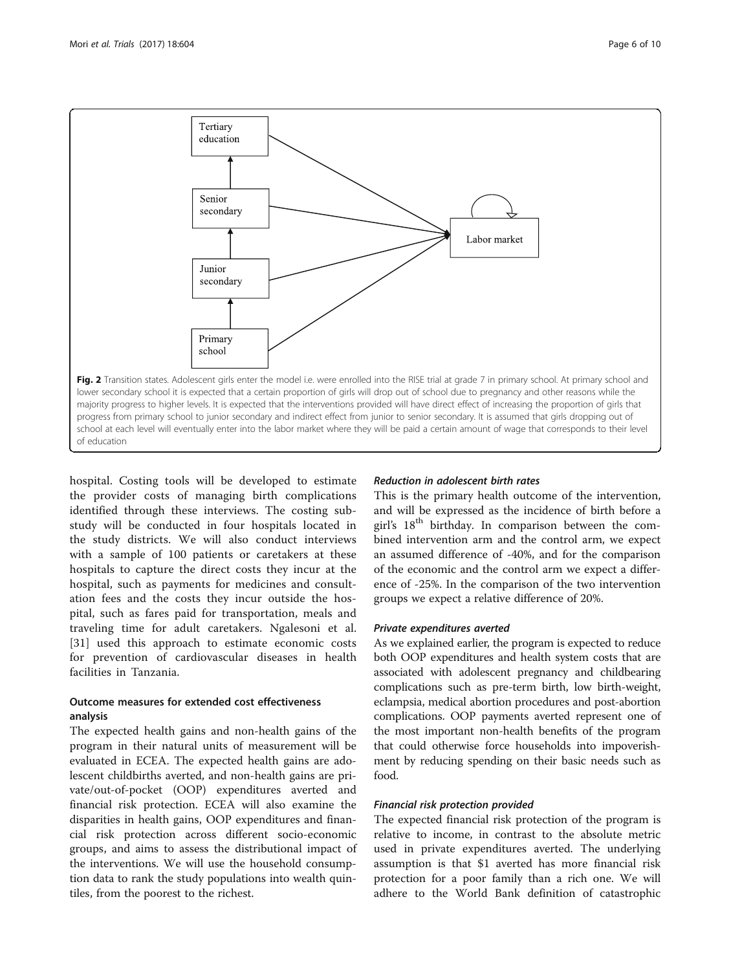<span id="page-5-0"></span>

hospital. Costing tools will be developed to estimate the provider costs of managing birth complications identified through these interviews. The costing substudy will be conducted in four hospitals located in the study districts. We will also conduct interviews with a sample of 100 patients or caretakers at these hospitals to capture the direct costs they incur at the hospital, such as payments for medicines and consultation fees and the costs they incur outside the hospital, such as fares paid for transportation, meals and traveling time for adult caretakers. Ngalesoni et al. [[31\]](#page-9-0) used this approach to estimate economic costs for prevention of cardiovascular diseases in health facilities in Tanzania.

# Outcome measures for extended cost effectiveness analysis

The expected health gains and non-health gains of the program in their natural units of measurement will be evaluated in ECEA. The expected health gains are adolescent childbirths averted, and non-health gains are private/out-of-pocket (OOP) expenditures averted and financial risk protection. ECEA will also examine the disparities in health gains, OOP expenditures and financial risk protection across different socio-economic groups, and aims to assess the distributional impact of the interventions. We will use the household consumption data to rank the study populations into wealth quintiles, from the poorest to the richest.

# Reduction in adolescent birth rates

This is the primary health outcome of the intervention, and will be expressed as the incidence of birth before a girl's  $18<sup>th</sup>$  birthday. In comparison between the combined intervention arm and the control arm, we expect an assumed difference of -40%, and for the comparison of the economic and the control arm we expect a difference of -25%. In the comparison of the two intervention groups we expect a relative difference of 20%.

# Private expenditures averted

As we explained earlier, the program is expected to reduce both OOP expenditures and health system costs that are associated with adolescent pregnancy and childbearing complications such as pre-term birth, low birth-weight, eclampsia, medical abortion procedures and post-abortion complications. OOP payments averted represent one of the most important non-health benefits of the program that could otherwise force households into impoverishment by reducing spending on their basic needs such as food.

# Financial risk protection provided

The expected financial risk protection of the program is relative to income, in contrast to the absolute metric used in private expenditures averted. The underlying assumption is that \$1 averted has more financial risk protection for a poor family than a rich one. We will adhere to the World Bank definition of catastrophic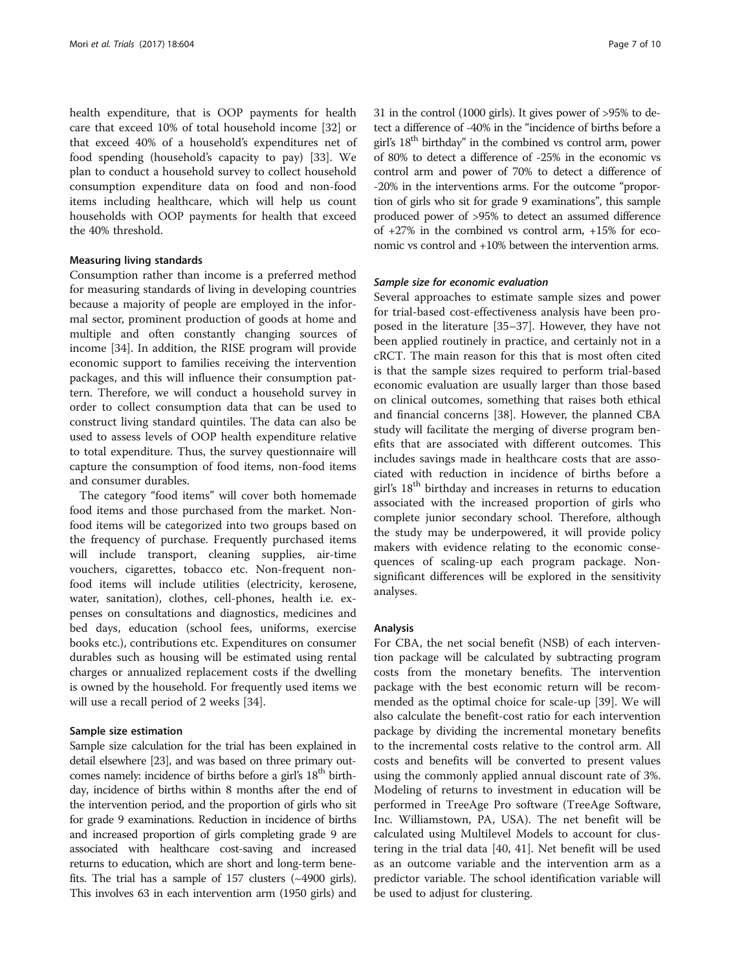health expenditure, that is OOP payments for health care that exceed 10% of total household income [\[32\]](#page-9-0) or that exceed 40% of a household's expenditures net of food spending (household's capacity to pay) [[33\]](#page-9-0). We plan to conduct a household survey to collect household consumption expenditure data on food and non-food items including healthcare, which will help us count households with OOP payments for health that exceed the 40% threshold.

#### Measuring living standards

Consumption rather than income is a preferred method for measuring standards of living in developing countries because a majority of people are employed in the informal sector, prominent production of goods at home and multiple and often constantly changing sources of income [\[34](#page-9-0)]. In addition, the RISE program will provide economic support to families receiving the intervention packages, and this will influence their consumption pattern. Therefore, we will conduct a household survey in order to collect consumption data that can be used to construct living standard quintiles. The data can also be used to assess levels of OOP health expenditure relative to total expenditure. Thus, the survey questionnaire will capture the consumption of food items, non-food items and consumer durables.

The category "food items" will cover both homemade food items and those purchased from the market. Nonfood items will be categorized into two groups based on the frequency of purchase. Frequently purchased items will include transport, cleaning supplies, air-time vouchers, cigarettes, tobacco etc. Non-frequent nonfood items will include utilities (electricity, kerosene, water, sanitation), clothes, cell-phones, health i.e. expenses on consultations and diagnostics, medicines and bed days, education (school fees, uniforms, exercise books etc.), contributions etc. Expenditures on consumer durables such as housing will be estimated using rental charges or annualized replacement costs if the dwelling is owned by the household. For frequently used items we will use a recall period of 2 weeks [\[34](#page-9-0)].

#### Sample size estimation

Sample size calculation for the trial has been explained in detail elsewhere [\[23\]](#page-9-0), and was based on three primary outcomes namely: incidence of births before a girl's 18<sup>th</sup> birthday, incidence of births within 8 months after the end of the intervention period, and the proportion of girls who sit for grade 9 examinations. Reduction in incidence of births and increased proportion of girls completing grade 9 are associated with healthcare cost-saving and increased returns to education, which are short and long-term benefits. The trial has a sample of 157 clusters (~4900 girls). This involves 63 in each intervention arm (1950 girls) and

31 in the control (1000 girls). It gives power of >95% to detect a difference of -40% in the "incidence of births before a girl's 18<sup>th</sup> birthday" in the combined vs control arm, power of 80% to detect a difference of -25% in the economic vs control arm and power of 70% to detect a difference of -20% in the interventions arms. For the outcome "proportion of girls who sit for grade 9 examinations", this sample produced power of >95% to detect an assumed difference of +27% in the combined vs control arm, +15% for economic vs control and +10% between the intervention arms.

# Sample size for economic evaluation

Several approaches to estimate sample sizes and power for trial-based cost-effectiveness analysis have been proposed in the literature [[35](#page-9-0)–[37\]](#page-9-0). However, they have not been applied routinely in practice, and certainly not in a cRCT. The main reason for this that is most often cited is that the sample sizes required to perform trial-based economic evaluation are usually larger than those based on clinical outcomes, something that raises both ethical and financial concerns [\[38](#page-9-0)]. However, the planned CBA study will facilitate the merging of diverse program benefits that are associated with different outcomes. This includes savings made in healthcare costs that are associated with reduction in incidence of births before a girl's 18th birthday and increases in returns to education associated with the increased proportion of girls who complete junior secondary school. Therefore, although the study may be underpowered, it will provide policy makers with evidence relating to the economic consequences of scaling-up each program package. Nonsignificant differences will be explored in the sensitivity analyses.

# Analysis

For CBA, the net social benefit (NSB) of each intervention package will be calculated by subtracting program costs from the monetary benefits. The intervention package with the best economic return will be recommended as the optimal choice for scale-up [[39\]](#page-9-0). We will also calculate the benefit-cost ratio for each intervention package by dividing the incremental monetary benefits to the incremental costs relative to the control arm. All costs and benefits will be converted to present values using the commonly applied annual discount rate of 3%. Modeling of returns to investment in education will be performed in TreeAge Pro software (TreeAge Software, Inc. Williamstown, PA, USA). The net benefit will be calculated using Multilevel Models to account for clustering in the trial data [\[40](#page-9-0), [41\]](#page-9-0). Net benefit will be used as an outcome variable and the intervention arm as a predictor variable. The school identification variable will be used to adjust for clustering.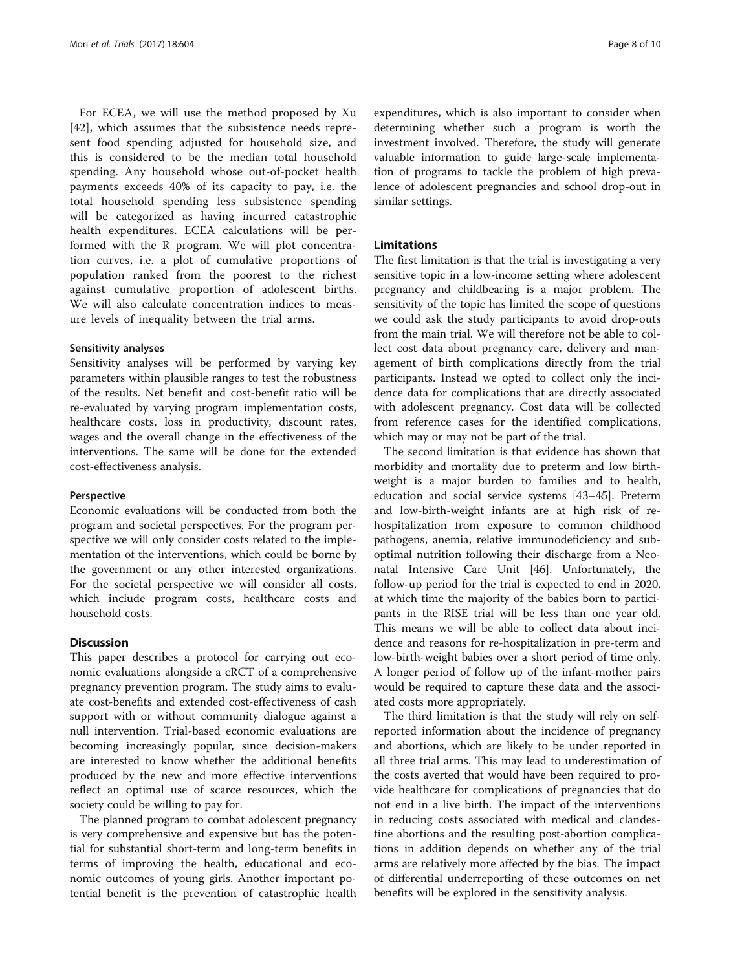For ECEA, we will use the method proposed by Xu [[42\]](#page-9-0), which assumes that the subsistence needs represent food spending adjusted for household size, and this is considered to be the median total household spending. Any household whose out-of-pocket health payments exceeds 40% of its capacity to pay, i.e. the total household spending less subsistence spending will be categorized as having incurred catastrophic health expenditures. ECEA calculations will be performed with the R program. We will plot concentration curves, i.e. a plot of cumulative proportions of population ranked from the poorest to the richest against cumulative proportion of adolescent births. We will also calculate concentration indices to measure levels of inequality between the trial arms.

#### Sensitivity analyses

Sensitivity analyses will be performed by varying key parameters within plausible ranges to test the robustness of the results. Net benefit and cost-benefit ratio will be re-evaluated by varying program implementation costs, healthcare costs, loss in productivity, discount rates, wages and the overall change in the effectiveness of the interventions. The same will be done for the extended cost-effectiveness analysis.

#### Perspective

Economic evaluations will be conducted from both the program and societal perspectives. For the program perspective we will only consider costs related to the implementation of the interventions, which could be borne by the government or any other interested organizations. For the societal perspective we will consider all costs, which include program costs, healthcare costs and household costs.

# **Discussion**

This paper describes a protocol for carrying out economic evaluations alongside a cRCT of a comprehensive pregnancy prevention program. The study aims to evaluate cost-benefits and extended cost-effectiveness of cash support with or without community dialogue against a null intervention. Trial-based economic evaluations are becoming increasingly popular, since decision-makers are interested to know whether the additional benefits produced by the new and more effective interventions reflect an optimal use of scarce resources, which the society could be willing to pay for.

The planned program to combat adolescent pregnancy is very comprehensive and expensive but has the potential for substantial short-term and long-term benefits in terms of improving the health, educational and economic outcomes of young girls. Another important potential benefit is the prevention of catastrophic health

expenditures, which is also important to consider when determining whether such a program is worth the investment involved. Therefore, the study will generate valuable information to guide large-scale implementation of programs to tackle the problem of high prevalence of adolescent pregnancies and school drop-out in similar settings.

# Limitations

The first limitation is that the trial is investigating a very sensitive topic in a low-income setting where adolescent pregnancy and childbearing is a major problem. The sensitivity of the topic has limited the scope of questions we could ask the study participants to avoid drop-outs from the main trial. We will therefore not be able to collect cost data about pregnancy care, delivery and management of birth complications directly from the trial participants. Instead we opted to collect only the incidence data for complications that are directly associated with adolescent pregnancy. Cost data will be collected from reference cases for the identified complications, which may or may not be part of the trial.

The second limitation is that evidence has shown that morbidity and mortality due to preterm and low birthweight is a major burden to families and to health, education and social service systems [[43](#page-9-0)–[45](#page-9-0)]. Preterm and low-birth-weight infants are at high risk of rehospitalization from exposure to common childhood pathogens, anemia, relative immunodeficiency and suboptimal nutrition following their discharge from a Neonatal Intensive Care Unit [[46\]](#page-9-0). Unfortunately, the follow-up period for the trial is expected to end in 2020, at which time the majority of the babies born to participants in the RISE trial will be less than one year old. This means we will be able to collect data about incidence and reasons for re-hospitalization in pre-term and low-birth-weight babies over a short period of time only. A longer period of follow up of the infant-mother pairs would be required to capture these data and the associated costs more appropriately.

The third limitation is that the study will rely on selfreported information about the incidence of pregnancy and abortions, which are likely to be under reported in all three trial arms. This may lead to underestimation of the costs averted that would have been required to provide healthcare for complications of pregnancies that do not end in a live birth. The impact of the interventions in reducing costs associated with medical and clandestine abortions and the resulting post-abortion complications in addition depends on whether any of the trial arms are relatively more affected by the bias. The impact of differential underreporting of these outcomes on net benefits will be explored in the sensitivity analysis.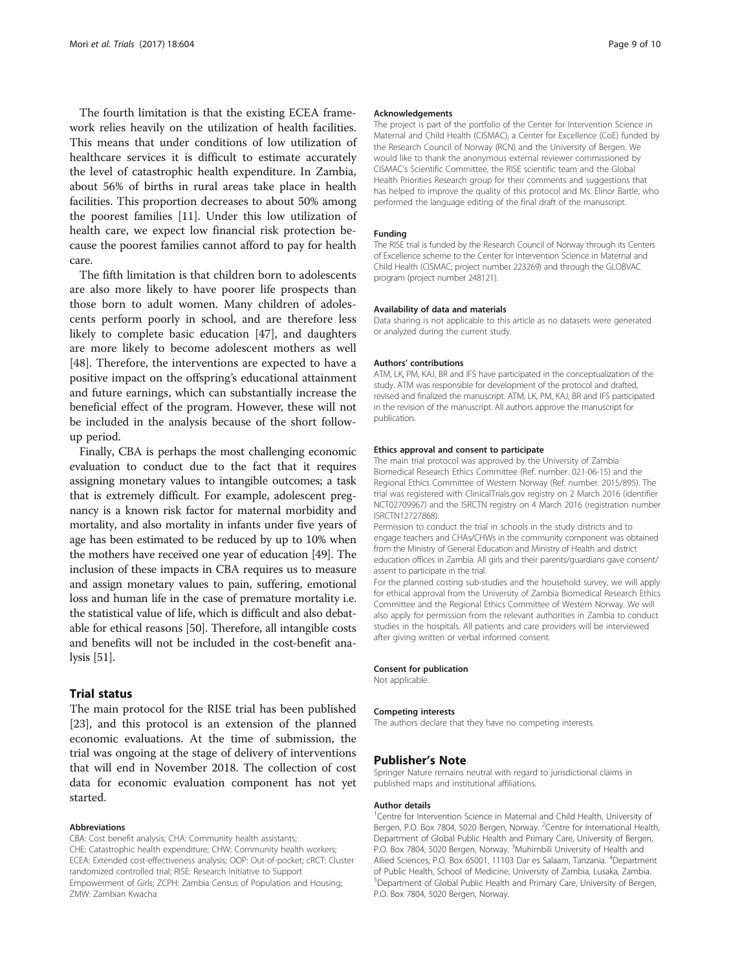The fourth limitation is that the existing ECEA framework relies heavily on the utilization of health facilities. This means that under conditions of low utilization of healthcare services it is difficult to estimate accurately the level of catastrophic health expenditure. In Zambia, about 56% of births in rural areas take place in health facilities. This proportion decreases to about 50% among the poorest families [\[11\]](#page-9-0). Under this low utilization of health care, we expect low financial risk protection because the poorest families cannot afford to pay for health care.

The fifth limitation is that children born to adolescents are also more likely to have poorer life prospects than those born to adult women. Many children of adolescents perform poorly in school, and are therefore less likely to complete basic education [[47\]](#page-9-0), and daughters are more likely to become adolescent mothers as well [[48\]](#page-9-0). Therefore, the interventions are expected to have a positive impact on the offspring's educational attainment and future earnings, which can substantially increase the beneficial effect of the program. However, these will not be included in the analysis because of the short followup period.

Finally, CBA is perhaps the most challenging economic evaluation to conduct due to the fact that it requires assigning monetary values to intangible outcomes; a task that is extremely difficult. For example, adolescent pregnancy is a known risk factor for maternal morbidity and mortality, and also mortality in infants under five years of age has been estimated to be reduced by up to 10% when the mothers have received one year of education [\[49\]](#page-9-0). The inclusion of these impacts in CBA requires us to measure and assign monetary values to pain, suffering, emotional loss and human life in the case of premature mortality i.e. the statistical value of life, which is difficult and also debatable for ethical reasons [\[50](#page-9-0)]. Therefore, all intangible costs and benefits will not be included in the cost-benefit analysis [\[51\]](#page-9-0).

# Trial status

The main protocol for the RISE trial has been published [[23\]](#page-9-0), and this protocol is an extension of the planned economic evaluations. At the time of submission, the trial was ongoing at the stage of delivery of interventions that will end in November 2018. The collection of cost data for economic evaluation component has not yet started.

#### Abbreviations

CBA: Cost benefit analysis; CHA: Community health assistants; CHE: Catastrophic health expenditure; CHW: Community health workers; ECEA: Extended cost-effectiveness analysis; OOP: Out-of-pocket; cRCT: Cluster randomized controlled trial; RISE: Research Initiative to Support Empowerment of Girls; ZCPH: Zambia Census of Population and Housing; ZMW: Zambian Kwacha

#### Acknowledgements

The project is part of the portfolio of the Center for Intervention Science in Maternal and Child Health (CISMAC), a Center for Excellence (CoE) funded by the Research Council of Norway (RCN) and the University of Bergen. We would like to thank the anonymous external reviewer commissioned by CISMAC's Scientific Committee, the RISE scientific team and the Global Health Priorities Research group for their comments and suggestions that has helped to improve the quality of this protocol and Ms. Elinor Bartle, who performed the language editing of the final draft of the manuscript.

#### Funding

The RISE trial is funded by the Research Council of Norway through its Centers of Excellence scheme to the Center for Intervention Science in Maternal and Child Health (CISMAC; project number 223269) and through the GLOBVAC program (project number 248121).

#### Availability of data and materials

Data sharing is not applicable to this article as no datasets were generated or analyzed during the current study.

#### Authors' contributions

ATM, LK, PM, KAJ, BR and IFS have participated in the conceptualization of the study. ATM was responsible for development of the protocol and drafted, revised and finalized the manuscript. ATM, LK, PM, KAJ, BR and IFS participated in the revision of the manuscript. All authors approve the manuscript for publication.

#### Ethics approval and consent to participate

The main trial protocol was approved by the University of Zambia Biomedical Research Ethics Committee (Ref. number. 021-06-15) and the Regional Ethics Committee of Western Norway (Ref. number. 2015/895). The trial was registered with ClinicalTrials.gov registry on 2 March 2016 (identifier NCT02709967) and the ISRCTN registry on 4 March 2016 (registration number ISRCTN12727868).

Permission to conduct the trial in schools in the study districts and to engage teachers and CHAs/CHWs in the community component was obtained from the Ministry of General Education and Ministry of Health and district education offices in Zambia. All girls and their parents/guardians gave consent/ assent to participate in the trial.

For the planned costing sub-studies and the household survey, we will apply for ethical approval from the University of Zambia Biomedical Research Ethics Committee and the Regional Ethics Committee of Western Norway. We will also apply for permission from the relevant authorities in Zambia to conduct studies in the hospitals. All patients and care providers will be interviewed after giving written or verbal informed consent.

#### Consent for publication

Not applicable.

#### Competing interests

The authors declare that they have no competing interests.

# Publisher's Note

Springer Nature remains neutral with regard to jurisdictional claims in published maps and institutional affiliations.

#### Author details

<sup>1</sup> Centre for Intervention Science in Maternal and Child Health, University of Bergen, P.O. Box 7804, 5020 Bergen, Norway. <sup>2</sup>Centre for International Health Department of Global Public Health and Primary Care, University of Bergen, P.O. Box 7804, 5020 Bergen, Norway. <sup>3</sup>Muhimbili University of Health and Allied Sciences, P.O. Box 65001, 11103 Dar es Salaam, Tanzania. <sup>4</sup>Department of Public Health, School of Medicine, University of Zambia, Lusaka, Zambia. 5 Department of Global Public Health and Primary Care, University of Bergen, P.O. Box 7804, 5020 Bergen, Norway.